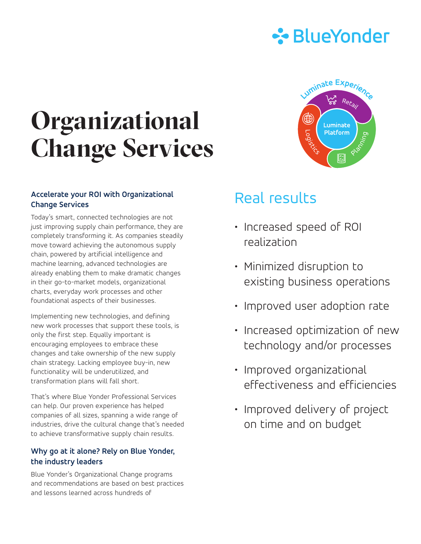

# **Organizational Change Services**

### **Accelerate your ROI with Organizational Change Services**

Today's smart, connected technologies are not just improving supply chain performance, they are completely transforming it. As companies steadily move toward achieving the autonomous supply chain, powered by artificial intelligence and machine learning, advanced technologies are already enabling them to make dramatic changes in their go-to-market models, organizational charts, everyday work processes and other foundational aspects of their businesses.

Implementing new technologies, and defining new work processes that support these tools, is only the first step. Equally important is encouraging employees to embrace these changes and take ownership of the new supply chain strategy. Lacking employee buy-in, new functionality will be underutilized, and transformation plans will fall short.

That's where Blue Yonder Professional Services can help. Our proven experience has helped companies of all sizes, spanning a wide range of industries, drive the cultural change that's needed to achieve transformative supply chain results.

### **Why go at it alone? Rely on Blue Yonder, the industry leaders**

Blue Yonder's Organizational Change programs and recommendations are based on best practices and lessons learned across hundreds of



## Real results

- Increased speed of ROI realization
- Minimized disruption to existing business operations
- Improved user adoption rate
- Increased optimization of new technology and/or processes
- Improved organizational effectiveness and efficiencies
- Improved delivery of project on time and on budget